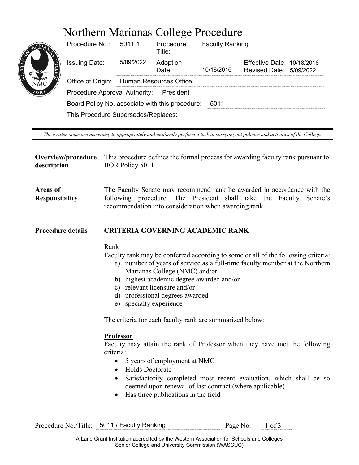# Northern Marianas College Procedure



| Procedure No.:                                  | 50111<br>Procedure<br>Title:  |                   | <b>Faculty Ranking</b> |                                                       |  |
|-------------------------------------------------|-------------------------------|-------------------|------------------------|-------------------------------------------------------|--|
| <b>Issuing Date:</b>                            | 5/09/2022                     | Adoption<br>Date: | 10/18/2016             | Effective Date: 10/18/2016<br>Revised Date: 5/09/2022 |  |
| Office of Origin:                               | <b>Human Resources Office</b> |                   |                        |                                                       |  |
| Procedure Approval Authority:<br>President      |                               |                   |                        |                                                       |  |
| Board Policy No. associate with this procedure: |                               |                   | 5011                   |                                                       |  |
| This Procedure Supersedes/Replaces:             |                               |                   |                        |                                                       |  |

*The written steps are necessary to appropriately and uniformly perform a task in carrying out policies and activities of the College.* 

**Overview/procedure description**  This procedure defines the formal process for awarding faculty rank pursuant to BOR Policy 5011.

**Areas of Responsibility**  The Faculty Senate may recommend rank be awarded in accordance with the following procedure. The President shall take the Faculty Senate's recommendation into consideration when awarding rank.

#### **Procedure details CRITERIA GOVERNING ACADEMIC RANK**

# Rank

Faculty rank may be conferred according to some or all of the following criteria:

- a) number of years of service as a full-time faculty member at the Northern Marianas College (NMC) and/or
- b) highest academic degree awarded and/or
- c) relevant licensure and/or
- d) professional degrees awarded
- e) specialty experience

The criteria for each faculty rank are summarized below:

# **Professor**

Faculty may attain the rank of Professor when they have met the following criteria:

- 5 years of employment at NMC
- Holds Doctorate
- Satisfactorily completed most recent evaluation, which shall be so deemed upon renewal of last contract (where applicable)
- Has three publications in the field

Procedure No./Title: 5011 / Faculty Ranking Page No. 1 of 3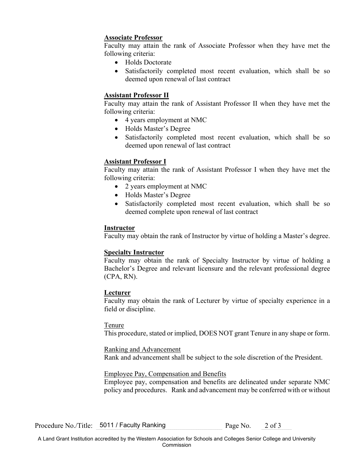## **Associate Professor**

Faculty may attain the rank of Associate Professor when they have met the following criteria:

- Holds Doctorate
- Satisfactorily completed most recent evaluation, which shall be so deemed upon renewal of last contract

# **Assistant Professor II**

 following criteria: Faculty may attain the rank of Assistant Professor II when they have met the

- 4 years employment at NMC
- Holds Master's Degree
- Satisfactorily completed most recent evaluation, which shall be so deemed upon renewal of last contract

# **Assistant Professor I**

 following criteria: Faculty may attain the rank of Assistant Professor I when they have met the

- 2 years employment at NMC
- Holds Master's Degree
- Satisfactorily completed most recent evaluation, which shall be so deemed complete upon renewal of last contract

### **Instructor**

Faculty may obtain the rank of Instructor by virtue of holding a Master's degree.

### **Specialty Instructor**

Faculty may obtain the rank of Specialty Instructor by virtue of holding a Bachelor's Degree and relevant licensure and the relevant professional degree (CPA, RN).

### **Lecturer**

Faculty may obtain the rank of Lecturer by virtue of specialty experience in a field or discipline.

#### Tenure

This procedure, stated or implied, DOES NOT grant Tenure in any shape or form.

#### Ranking and Advancement

Rank and advancement shall be subject to the sole discretion of the President.

### Employee Pay, Compensation and Benefits

Employee pay, compensation and benefits are delineated under separate NMC policy and procedures. Rank and advancement may be conferred with or without

Procedure No./Title: 5011 / Faculty Ranking Page No. 2 of 3

A Land Grant Institution accredited by the Western Association for Schools and Colleges Senior College and University Commission